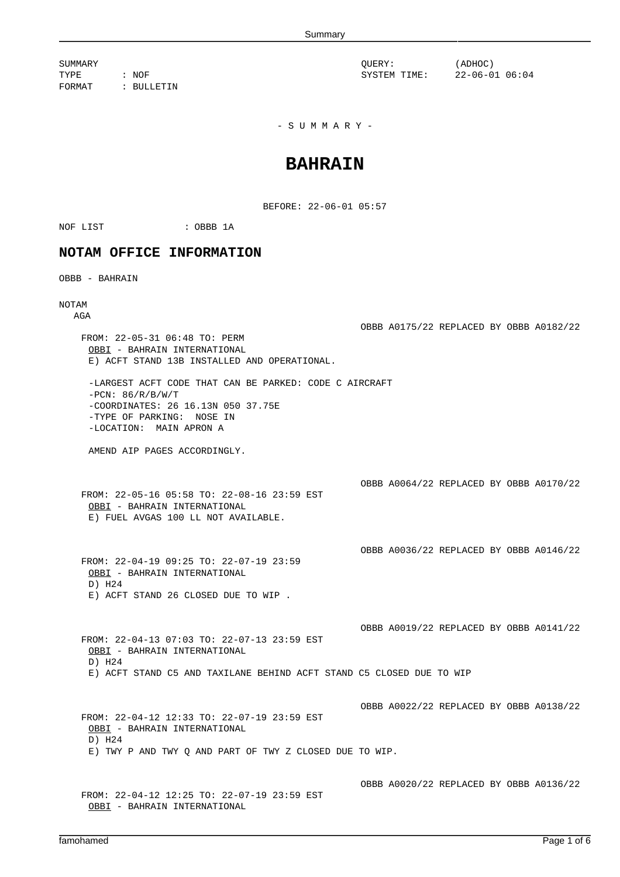SUMMARY QUERY: (ADHOC) TYPE : NOF : NOF SYSTEM TIME: 22-06-01 06:04 FORMAT : BULLETIN

 $-$  S U M M A R Y  $-$ 

## **BAHRAIN**

BEFORE: 22-06-01 05:57

NOF LIST : OBBB 1A

## **NOTAM OFFICE INFORMATION**

OBBB - BAHRAIN

## NOTAM

AGA

OBBB A0175/22 REPLACED BY OBBB A0182/22 FROM: 22-05-31 06:48 TO: PERM OBBI - BAHRAIN INTERNATIONAL E) ACFT STAND 13B INSTALLED AND OPERATIONAL. -LARGEST ACFT CODE THAT CAN BE PARKED: CODE C AIRCRAFT  $-PCN: 86/R/B/W/T$ -COORDINATES: 26 16.13N 050 37.75E -TYPE OF PARKING: NOSE IN -LOCATION: MAIN APRON A AMEND AIP PAGES ACCORDINGLY. OBBB A0064/22 REPLACED BY OBBB A0170/22 FROM: 22-05-16 05:58 TO: 22-08-16 23:59 EST OBBI - BAHRAIN INTERNATIONAL E) FUEL AVGAS 100 LL NOT AVAILABLE. OBBB A0036/22 REPLACED BY OBBB A0146/22 FROM: 22-04-19 09:25 TO: 22-07-19 23:59 OBBI - BAHRAIN INTERNATIONAL D) H24 E) ACFT STAND 26 CLOSED DUE TO WIP . OBBB A0019/22 REPLACED BY OBBB A0141/22 FROM: 22-04-13 07:03 TO: 22-07-13 23:59 EST OBBI - BAHRAIN INTERNATIONAL D) H24 E) ACFT STAND C5 AND TAXILANE BEHIND ACFT STAND C5 CLOSED DUE TO WIP OBBB A0022/22 REPLACED BY OBBB A0138/22 FROM: 22-04-12 12:33 TO: 22-07-19 23:59 EST OBBI - BAHRAIN INTERNATIONAL D) H24 E) TWY P AND TWY Q AND PART OF TWY Z CLOSED DUE TO WIP. OBBB A0020/22 REPLACED BY OBBB A0136/22 FROM: 22-04-12 12:25 TO: 22-07-19 23:59 EST OBBI - BAHRAIN INTERNATIONAL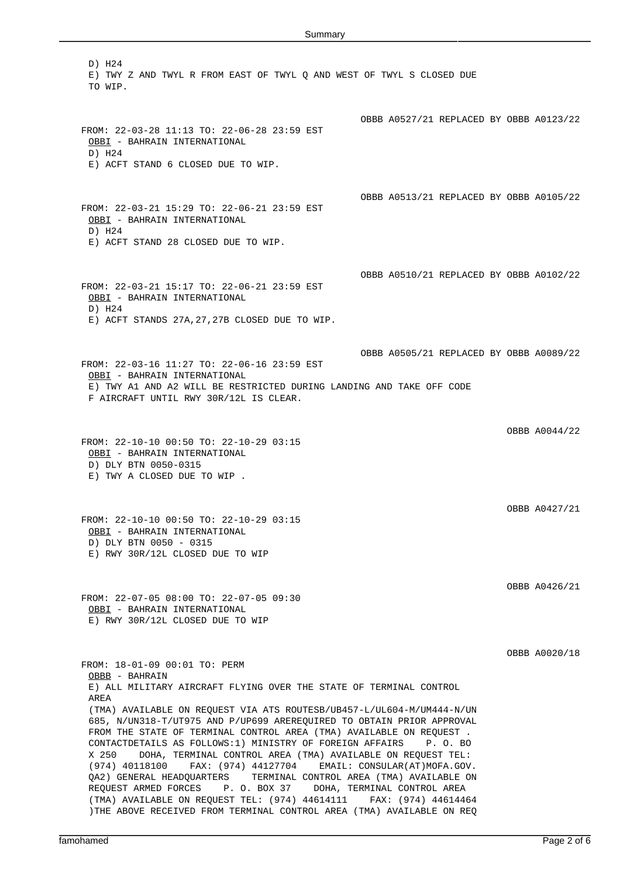D) H24 E) TWY Z AND TWYL R FROM EAST OF TWYL Q AND WEST OF TWYL S CLOSED DUE TO WIP. OBBB A0527/21 REPLACED BY OBBB A0123/22 FROM: 22-03-28 11:13 TO: 22-06-28 23:59 EST OBBI - BAHRAIN INTERNATIONAL D) H24 E) ACFT STAND 6 CLOSED DUE TO WIP. OBBB A0513/21 REPLACED BY OBBB A0105/22 FROM: 22-03-21 15:29 TO: 22-06-21 23:59 EST OBBI - BAHRAIN INTERNATIONAL D) H24 E) ACFT STAND 28 CLOSED DUE TO WIP. OBBB A0510/21 REPLACED BY OBBB A0102/22 FROM: 22-03-21 15:17 TO: 22-06-21 23:59 EST OBBI - BAHRAIN INTERNATIONAL D) H24 E) ACFT STANDS 27A,27,27B CLOSED DUE TO WIP. OBBB A0505/21 REPLACED BY OBBB A0089/22 FROM: 22-03-16 11:27 TO: 22-06-16 23:59 EST OBBI - BAHRAIN INTERNATIONAL E) TWY A1 AND A2 WILL BE RESTRICTED DURING LANDING AND TAKE OFF CODE F AIRCRAFT UNTIL RWY 30R/12L IS CLEAR. OBBB A0044/22 FROM: 22-10-10 00:50 TO: 22-10-29 03:15 OBBI - BAHRAIN INTERNATIONAL D) DLY BTN 0050-0315 E) TWY A CLOSED DUE TO WIP . OBBB A0427/21 FROM: 22-10-10 00:50 TO: 22-10-29 03:15 OBBI - BAHRAIN INTERNATIONAL D) DLY BTN 0050 - 0315 E) RWY 30R/12L CLOSED DUE TO WIP OBBB A0426/21 FROM: 22-07-05 08:00 TO: 22-07-05 09:30 OBBI - BAHRAIN INTERNATIONAL E) RWY 30R/12L CLOSED DUE TO WIP OBBB A0020/18 FROM: 18-01-09 00:01 TO: PERM OBBB - BAHRAIN E) ALL MILITARY AIRCRAFT FLYING OVER THE STATE OF TERMINAL CONTROL AREA (TMA) AVAILABLE ON REQUEST VIA ATS ROUTESB/UB457-L/UL604-M/UM444-N/UN 685, N/UN318-T/UT975 AND P/UP699 AREREQUIRED TO OBTAIN PRIOR APPROVAL FROM THE STATE OF TERMINAL CONTROL AREA (TMA) AVAILABLE ON REQUEST . CONTACTDETAILS AS FOLLOWS:1) MINISTRY OF FOREIGN AFFAIRS P. O. BO X 250 DOHA, TERMINAL CONTROL AREA (TMA) AVAILABLE ON REQUEST TEL: (974) 40118100 FAX: (974) 44127704 EMAIL: CONSULAR(AT)MOFA.GOV. QA2) GENERAL HEADQUARTERS TERMINAL CONTROL AREA (TMA) AVAILABLE ON REQUEST ARMED FORCES P. O. BOX 37 DOHA, TERMINAL CONTROL AREA (TMA) AVAILABLE ON REQUEST TEL: (974) 44614111 FAX: (974) 44614464

)THE ABOVE RECEIVED FROM TERMINAL CONTROL AREA (TMA) AVAILABLE ON REQ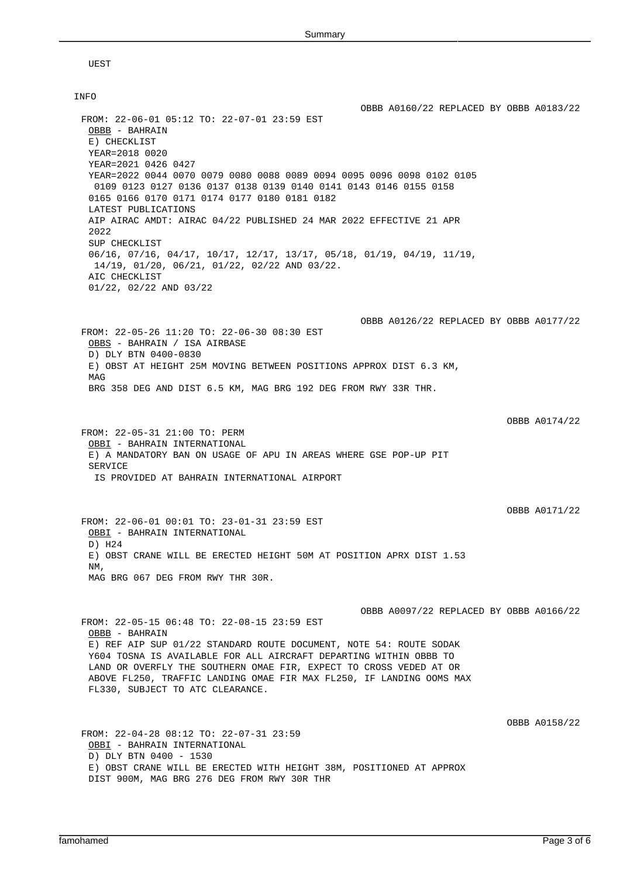UEST

| <b>INFO</b>                                                                                                                                                                                                                                                                                                                                 |                                         |
|---------------------------------------------------------------------------------------------------------------------------------------------------------------------------------------------------------------------------------------------------------------------------------------------------------------------------------------------|-----------------------------------------|
| FROM: 22-06-01 05:12 TO: 22-07-01 23:59 EST<br>OBBB - BAHRAIN<br>E) CHECKLIST<br>YEAR=2018 0020                                                                                                                                                                                                                                             | OBBB A0160/22 REPLACED BY OBBB A0183/22 |
| YEAR=2021 0426 0427<br>YEAR=2022 0044 0070 0079 0080 0088 0089 0094 0095 0096 0098 0102 0105<br>0109 0123 0127 0136 0137 0138 0139 0140 0141 0143 0146 0155 0158<br>0165 0166 0170 0171 0174 0177 0180 0181 0182<br>LATEST PUBLICATIONS                                                                                                     |                                         |
| AIP AIRAC AMDT: AIRAC 04/22 PUBLISHED 24 MAR 2022 EFFECTIVE 21 APR<br>2022                                                                                                                                                                                                                                                                  |                                         |
| SUP CHECKLIST<br>$06/16$ , $07/16$ , $04/17$ , $10/17$ , $12/17$ , $13/17$ , $05/18$ , $01/19$ , $04/19$ , $11/19$ ,<br>$14/19$ , $01/20$ , $06/21$ , $01/22$ , $02/22$ AND $03/22$ .<br>AIC CHECKLIST                                                                                                                                      |                                         |
| $01/22$ , $02/22$ AND $03/22$                                                                                                                                                                                                                                                                                                               |                                         |
| FROM: 22-05-26 11:20 TO: 22-06-30 08:30 EST<br>OBBS - BAHRAIN / ISA AIRBASE                                                                                                                                                                                                                                                                 | OBBB A0126/22 REPLACED BY OBBB A0177/22 |
| D) DLY BTN 0400-0830<br>E) OBST AT HEIGHT 25M MOVING BETWEEN POSITIONS APPROX DIST 6.3 KM,<br>MAG                                                                                                                                                                                                                                           |                                         |
| BRG 358 DEG AND DIST 6.5 KM, MAG BRG 192 DEG FROM RWY 33R THR.                                                                                                                                                                                                                                                                              |                                         |
|                                                                                                                                                                                                                                                                                                                                             |                                         |
| FROM: 22-05-31 21:00 TO: PERM<br>OBBI - BAHRAIN INTERNATIONAL<br>E) A MANDATORY BAN ON USAGE OF APU IN AREAS WHERE GSE POP-UP PIT<br>SERVICE                                                                                                                                                                                                | OBBB A0174/22                           |
| IS PROVIDED AT BAHRAIN INTERNATIONAL AIRPORT                                                                                                                                                                                                                                                                                                |                                         |
|                                                                                                                                                                                                                                                                                                                                             | OBBB A0171/22                           |
| FROM: 22-06-01 00:01 TO: 23-01-31 23:59 EST<br>OBBI - BAHRAIN INTERNATIONAL<br>D) H24                                                                                                                                                                                                                                                       |                                         |
| E) OBST CRANE WILL BE ERECTED HEIGHT 50M AT POSITION APRX DIST 1.53<br>NM,                                                                                                                                                                                                                                                                  |                                         |
| MAG BRG 067 DEG FROM RWY THR 30R.                                                                                                                                                                                                                                                                                                           |                                         |
| FROM: 22-05-15 06:48 TO: 22-08-15 23:59 EST                                                                                                                                                                                                                                                                                                 | OBBB A0097/22 REPLACED BY OBBB A0166/22 |
| OBBB - BAHRAIN<br>E) REF AIP SUP 01/22 STANDARD ROUTE DOCUMENT, NOTE 54: ROUTE SODAK<br>Y604 TOSNA IS AVAILABLE FOR ALL AIRCRAFT DEPARTING WITHIN OBBB TO<br>LAND OR OVERFLY THE SOUTHERN OMAE FIR, EXPECT TO CROSS VEDED AT OR<br>ABOVE FL250, TRAFFIC LANDING OMAE FIR MAX FL250, IF LANDING OOMS MAX<br>FL330, SUBJECT TO ATC CLEARANCE. |                                         |
| FROM: 22-04-28 08:12 TO: 22-07-31 23:59                                                                                                                                                                                                                                                                                                     | OBBB A0158/22                           |
| OBBI - BAHRAIN INTERNATIONAL<br>D) DLY BTN 0400 - 1530<br>E) OBST CRANE WILL BE ERECTED WITH HEIGHT 38M, POSITIONED AT APPROX<br>DIST 900M, MAG BRG 276 DEG FROM RWY 30R THR                                                                                                                                                                |                                         |
|                                                                                                                                                                                                                                                                                                                                             |                                         |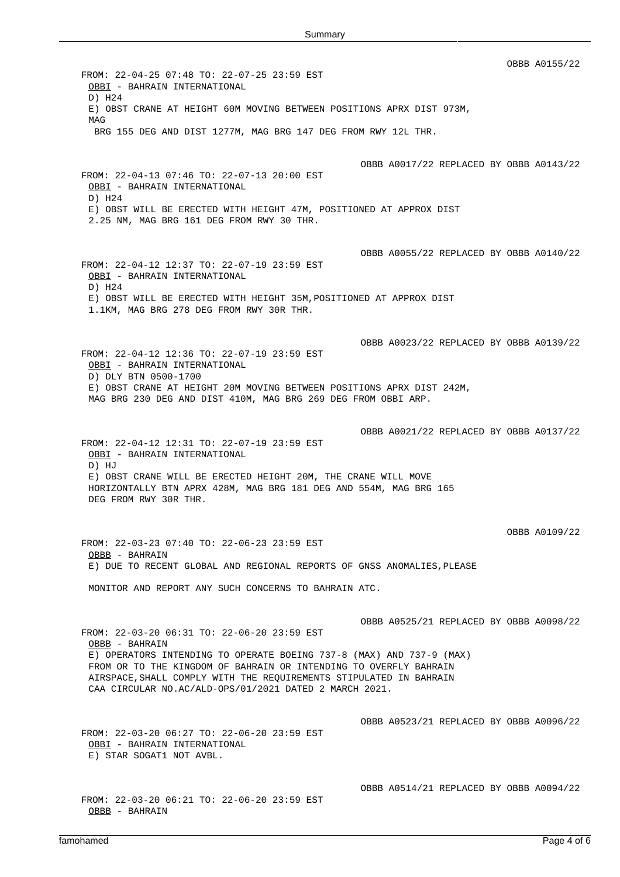OBBB A0155/22 FROM: 22-04-25 07:48 TO: 22-07-25 23:59 EST OBBI - BAHRAIN INTERNATIONAL D) H24 E) OBST CRANE AT HEIGHT 60M MOVING BETWEEN POSITIONS APRX DIST 973M, MAG BRG 155 DEG AND DIST 1277M, MAG BRG 147 DEG FROM RWY 12L THR. OBBB A0017/22 REPLACED BY OBBB A0143/22 FROM: 22-04-13 07:46 TO: 22-07-13 20:00 EST OBBI - BAHRAIN INTERNATIONAL D) H24 E) OBST WILL BE ERECTED WITH HEIGHT 47M, POSITIONED AT APPROX DIST 2.25 NM, MAG BRG 161 DEG FROM RWY 30 THR. OBBB A0055/22 REPLACED BY OBBB A0140/22 FROM: 22-04-12 12:37 TO: 22-07-19 23:59 EST OBBI - BAHRAIN INTERNATIONAL D) H24 E) OBST WILL BE ERECTED WITH HEIGHT 35M,POSITIONED AT APPROX DIST 1.1KM, MAG BRG 278 DEG FROM RWY 30R THR. OBBB A0023/22 REPLACED BY OBBB A0139/22 FROM: 22-04-12 12:36 TO: 22-07-19 23:59 EST OBBI - BAHRAIN INTERNATIONAL D) DLY BTN 0500-1700 E) OBST CRANE AT HEIGHT 20M MOVING BETWEEN POSITIONS APRX DIST 242M, MAG BRG 230 DEG AND DIST 410M, MAG BRG 269 DEG FROM OBBI ARP. OBBB A0021/22 REPLACED BY OBBB A0137/22 FROM: 22-04-12 12:31 TO: 22-07-19 23:59 EST OBBI - BAHRAIN INTERNATIONAL D) HJ E) OBST CRANE WILL BE ERECTED HEIGHT 20M, THE CRANE WILL MOVE HORIZONTALLY BTN APRX 428M, MAG BRG 181 DEG AND 554M, MAG BRG 165 DEG FROM RWY 30R THR. OBBB A0109/22 FROM: 22-03-23 07:40 TO: 22-06-23 23:59 EST OBBB - BAHRAIN E) DUE TO RECENT GLOBAL AND REGIONAL REPORTS OF GNSS ANOMALIES,PLEASE MONITOR AND REPORT ANY SUCH CONCERNS TO BAHRAIN ATC. OBBB A0525/21 REPLACED BY OBBB A0098/22 FROM: 22-03-20 06:31 TO: 22-06-20 23:59 EST OBBB - BAHRAIN E) OPERATORS INTENDING TO OPERATE BOEING 737-8 (MAX) AND 737-9 (MAX) FROM OR TO THE KINGDOM OF BAHRAIN OR INTENDING TO OVERFLY BAHRAIN AIRSPACE,SHALL COMPLY WITH THE REQUIREMENTS STIPULATED IN BAHRAIN CAA CIRCULAR NO.AC/ALD-OPS/01/2021 DATED 2 MARCH 2021. OBBB A0523/21 REPLACED BY OBBB A0096/22 FROM: 22-03-20 06:27 TO: 22-06-20 23:59 EST OBBI - BAHRAIN INTERNATIONAL E) STAR SOGAT1 NOT AVBL. OBBB A0514/21 REPLACED BY OBBB A0094/22 FROM: 22-03-20 06:21 TO: 22-06-20 23:59 EST OBBB - BAHRAIN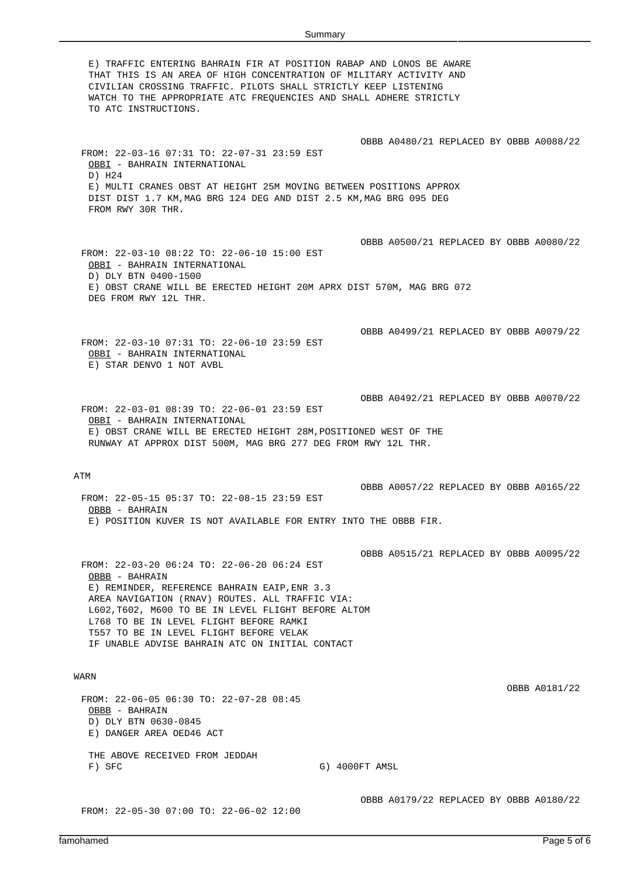E) TRAFFIC ENTERING BAHRAIN FIR AT POSITION RABAP AND LONOS BE AWARE THAT THIS IS AN AREA OF HIGH CONCENTRATION OF MILITARY ACTIVITY AND CIVILIAN CROSSING TRAFFIC. PILOTS SHALL STRICTLY KEEP LISTENING WATCH TO THE APPROPRIATE ATC FREQUENCIES AND SHALL ADHERE STRICTLY TO ATC INSTRUCTIONS. OBBB A0480/21 REPLACED BY OBBB A0088/22 FROM: 22-03-16 07:31 TO: 22-07-31 23:59 EST OBBI - BAHRAIN INTERNATIONAL D) H24 E) MULTI CRANES OBST AT HEIGHT 25M MOVING BETWEEN POSITIONS APPROX DIST DIST 1.7 KM,MAG BRG 124 DEG AND DIST 2.5 KM,MAG BRG 095 DEG FROM RWY 30R THR. OBBB A0500/21 REPLACED BY OBBB A0080/22 FROM: 22-03-10 08:22 TO: 22-06-10 15:00 EST OBBI - BAHRAIN INTERNATIONAL D) DLY BTN 0400-1500 E) OBST CRANE WILL BE ERECTED HEIGHT 20M APRX DIST 570M, MAG BRG 072 DEG FROM RWY 12L THR. OBBB A0499/21 REPLACED BY OBBB A0079/22 FROM: 22-03-10 07:31 TO: 22-06-10 23:59 EST OBBI - BAHRAIN INTERNATIONAL E) STAR DENVO 1 NOT AVBL OBBB A0492/21 REPLACED BY OBBB A0070/22 FROM: 22-03-01 08:39 TO: 22-06-01 23:59 EST OBBI - BAHRAIN INTERNATIONAL E) OBST CRANE WILL BE ERECTED HEIGHT 28M,POSITIONED WEST OF THE RUNWAY AT APPROX DIST 500M, MAG BRG 277 DEG FROM RWY 12L THR. ATM OBBB A0057/22 REPLACED BY OBBB A0165/22 FROM: 22-05-15 05:37 TO: 22-08-15 23:59 EST OBBB - BAHRAIN E) POSITION KUVER IS NOT AVAILABLE FOR ENTRY INTO THE OBBB FIR. OBBB A0515/21 REPLACED BY OBBB A0095/22 FROM: 22-03-20 06:24 TO: 22-06-20 06:24 EST OBBB - BAHRAIN E) REMINDER, REFERENCE BAHRAIN EAIP,ENR 3.3 AREA NAVIGATION (RNAV) ROUTES. ALL TRAFFIC VIA: L602,T602, M600 TO BE IN LEVEL FLIGHT BEFORE ALTOM L768 TO BE IN LEVEL FLIGHT BEFORE RAMKI T557 TO BE IN LEVEL FLIGHT BEFORE VELAK IF UNABLE ADVISE BAHRAIN ATC ON INITIAL CONTACT WARN OBBB A0181/22 FROM: 22-06-05 06:30 TO: 22-07-28 08:45 OBBB - BAHRAIN D) DLY BTN 0630-0845 E) DANGER AREA OED46 ACT THE ABOVE RECEIVED FROM JEDDAH F) SFC G) 4000FT AMSL OBBB A0179/22 REPLACED BY OBBB A0180/22 FROM: 22-05-30 07:00 TO: 22-06-02 12:00